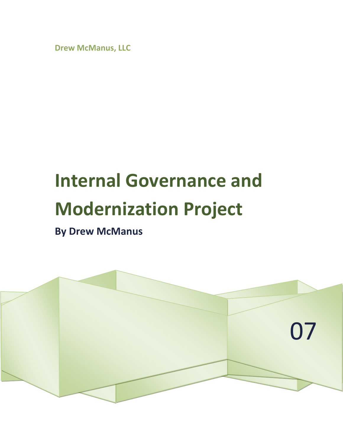**Drew McManus, LLC**

## **Internal Governance and Modernization Project**

**By Drew McManus**

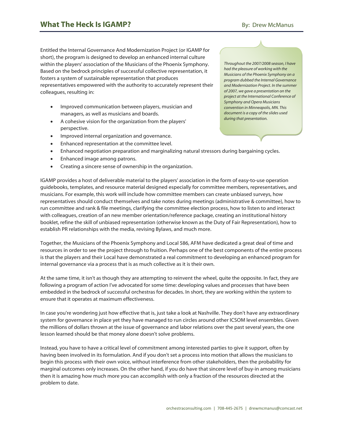Entitled the Internal Governance And Modernization Project (or IGAMP for short), the program is designed to develop an enhanced internal culture within the players' association of the Musicians of the Phoenix Symphony. Based on the bedrock principles of successful collective representation, it fosters a system of sustainable representation that produces representatives empowered with the authority to accurately represent their colleagues, resulting in:

- Improved communication between players, musician and managers, as well as musicians and boards.
- A cohesive vision for the organization from the players' perspective.
- Improved internal organization and governance.
- Enhanced representation at the committee level.
- Enhanced negotiation preparation and marginalizing natural stressors during bargaining cycles.
- Enhanced image among patrons.
- Creating a sincere sense of ownership in the organization.

IGAMP provides a host of deliverable material to the players' association in the form of easy-to-use operation guidebooks, templates, and resource material designed especially for committee members, representatives, and musicians. For example, this work will include how committee members can create unbiased surveys, how representatives should conduct themselves and take notes during meetings (administrative & committee), how to run committee and rank & file meetings, clarifying the committee election process, how to listen to and interact with colleagues, creation of an new member orientation/reference package, creating an institutional history booklet, refine the skill of unbiased representation (otherwise known as the Duty of Fair Representation), how to establish PR relationships with the media, revising Bylaws, and much more.

Together, the Musicians of the Phoenix Symphony and Local 586, AFM have dedicated a great deal of time and resources in order to see the project through to fruition. Perhaps one of the best components of the entire process is that the players and their Local have demonstrated a real commitment to developing an enhanced program for internal governance via a process that is as much collective as it is their own.

At the same time, it isn't as though they are attempting to reinvent the wheel, quite the opposite. In fact, they are following a program of action I've advocated for some time: developing values and processes that have been embedded in the bedrock of successful orchestras for decades. In short, they are working within the system to ensure that it operates at maximum effectiveness.

In case you're wondering just how effective that is, just take a look at Nashville. They don't have any extraordinary system for governance in place yet they have managed to run circles around other ICSOM level ensembles. Given the millions of dollars thrown at the issue of governance and labor relations over the past several years, the one lesson learned should be that money alone doesn't solve problems.

Instead, you have to have a critical level of commitment among interested parties to give it support, often by having been involved in its formulation. And if you don't set a process into motion that allows the musicians to begin this process with their own voice, without interference from other stakeholders, then the probability for marginal outcomes only increases. On the other hand, if you do have that sincere level of buy-in among musicians then it is amazing how much more you can accomplish with only a fraction of the resources directed at the problem to date.

*Throughout the 2007/2008 season, I have had the pleasure of working with the Musicians of the Phoenix Symphony on a program dubbed the Internal Governance and Modernization Project. In the summer of 2007, we gave a presentation on the project at the International Conference of Symphony and Opera Musicians convention in Minneapolis, MN. This document is a copy of the slides used during that presentation.*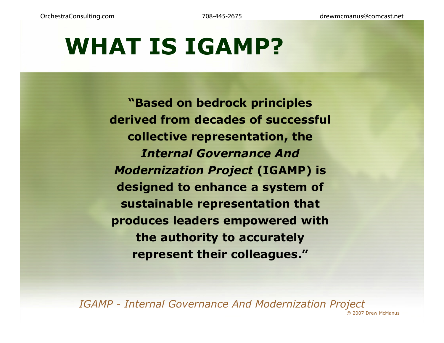# **WHAT IS IGAMP?**

**"Based on bedrock principles Based derived from decades of successful collective representation, the**  *l nternal Governance And Modernization Project* **(IGAMP) is desi g y ned to enhance a s ystem of sustainable representation that produces leaders empowered with the authority to accurately represent their colleagues."**

*IGAMP - Internal Governance And Modernization Project* © 2007 Drew McManus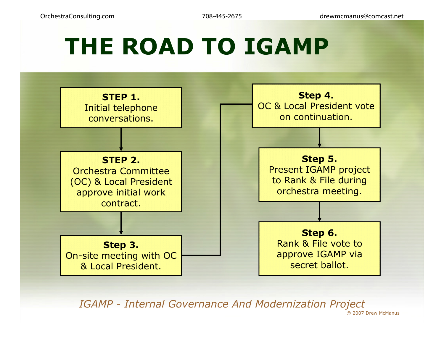# **THE ROAD TO IGAMP**



*IGAMP - Internal Governance And Modernization Project*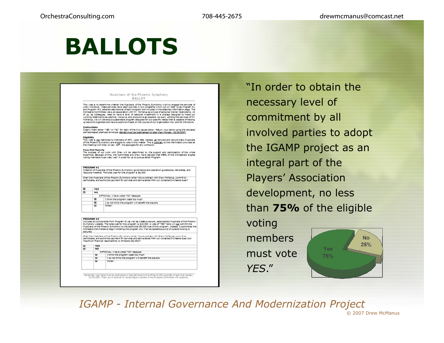# **BALLOTS**

### Musicians of the Phoenix Symphony **BALLOT**

This vote is to determine whether the Musicians of the Phoenix Symphony wish to engage the services of<br>Drew Midlanus, These services have been outlined in two programs which we will refer to as Program #1<br>and Program #2; d of us, as colleagues, need to have a level of personal investment in a process designed to make our working relationship as positive, indusive, and productive as possible. As such, utilizing the services of Mr. maining reasonably as participal program designed for our specific needs that is capable of helping<br>- Moltanus, we will develop a sustainable program designed for our specific needs that is capable of helping<br>- us become o

### **Instructions**

Clearly mark ether "YES" or "NO" for each of the two issues below. Return your ballot using the enclosed self addressed stamped envelope. Ballots must be postmarked no later than Monday, 02/05/2007.

### **Eligibility**

explusive)<br>This vote is not restricted to members of AFM, Local 586, Instead, all tenured and tenure track musicians<br>of the Phoenix Symphony are eligible to vote in this matter. This is <u>contrary</u> to the information provid

Pass/Pall Majority<br>The success of our work with Drew will be determined by the support and participation of the whole<br>ensemble. Because of this, the Committee and Drew have decided that 75% of the Orchestra's eligible voting members must yote "yes" in order for us to pursue ether Program.

### PROGRAM #1

r woulders are:<br>Creation of Musicians of the Phoenix Symphony governance and operation guidebooks, templates, and<br>resource material. The total cost for this program is \$6,000.

Shall the Musicians of the Phoenix Symphony enter into a contract with Drew McManus, commit to participate, and authorize payment for services and deliverables from our collected Orchestra dues?

| ⊟ | YFS       |                                                     |
|---|-----------|-----------------------------------------------------|
| п | <b>NO</b> |                                                     |
|   |           | OPTIONAL: I have voted "NO" because:                |
|   | 0         | I think the program costs too much                  |
|   | 0         | I do not think the program will benefit the players |
|   | ш         | Other:                                              |

### **PROGRAM #7**

PROGRAM #2<br>Includes all components from Program #1 as well as create a secure, personalized Musicians of the Phoenix<br>Symphony wetste.. The total cost for this program is \$15,000 . A vote of "YES" here will <u>not</u> commit the Orchestra Committee to begin initiating the program only if an acceptable source of outside funding is secured

Shall the Musiclars of the Phoenix Symphony enter into a cortract with Draw McMenus, commit to<br>participate, and authorize payment for services and deliverables from our collected Orchestra dues (our maximum financial responsibility is limited to \$6,000)?

| ш<br><b>NO</b><br>OPTIONAL: I have voted "NO" be ause:<br>I think the program costs too much<br>ш<br>I do not think the program will benefit the players<br>ш | ш | YES |        |  |
|---------------------------------------------------------------------------------------------------------------------------------------------------------------|---|-----|--------|--|
|                                                                                                                                                               |   |     |        |  |
|                                                                                                                                                               |   |     |        |  |
|                                                                                                                                                               |   |     |        |  |
|                                                                                                                                                               |   |     |        |  |
|                                                                                                                                                               |   | ш   | Other: |  |
|                                                                                                                                                               |   |     |        |  |

.<br>Remember, your ballot must be postmarked or hand delivered to the offices of ARA Local 586 no later than Monday<br>02/05/2007! Thank you in advance for contacting any member of the Orchestra Committee with questions.

"In order to obtain the necessary level of commitment by all involved parties to adopt the IGAMP project as an integral part of the Players' Association development, no less than **75%** of the eligible

voting members must vote*YES*."



*IGAMP - Internal Governance And Modernization Project*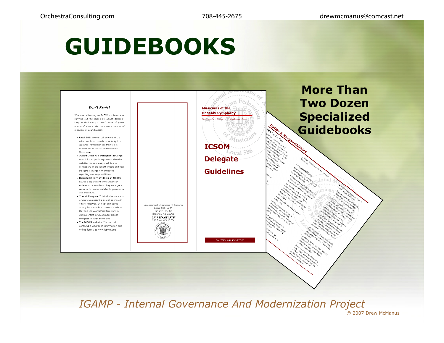# **GUIDEBOOKS**



*IGAMP - Internal Governance And Modernization Project*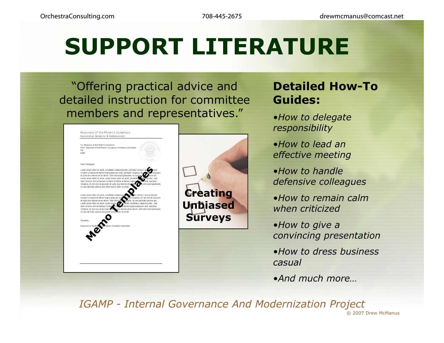# **SUPPORT LITERATURE**

"Offering practical advice and detailed instruction for committee members and representatives."



### **Detailed How-To Guides:**

- •*How to delegate responsibility*
- •*How to lead an effective meeting*
- •*How to handle defensive colleagues*
- •*How to remain calm when criticized*
- •*How to give a convincing presentation*
- •*How to dress business casual*
- •*And much more …*

*IGAMP - Internal Governance And Modernization Project* © 2007 Drew McManus